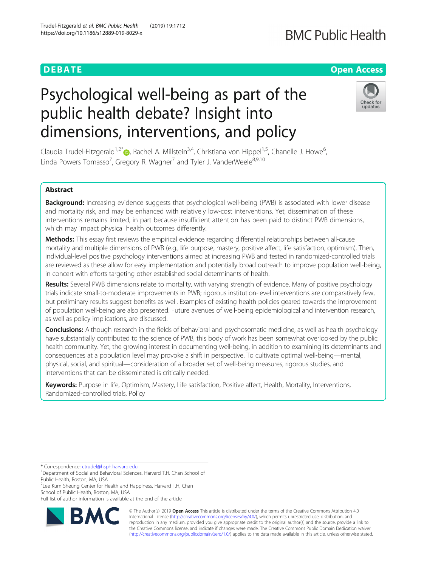# **DEBATE CONSERVATION DEBATE**

# Psychological well-being as part of the public health debate? Insight into dimensions, interventions, and policy

Claudia Trudel-Fitzgerald<sup>1[,](http://orcid.org/0000-0001-9989-4259)2\*</sup>  $\bullet$ , Rachel A. Millstein<sup>3,4</sup>, Christiana von Hippel<sup>1,5</sup>, Chanelle J. Howe<sup>6</sup>, , Linda Powers Tomasso<sup>7</sup>, Gregory R. Wagner<sup>7</sup> and Tyler J. VanderWeele<sup>8,9,10</sup>

# Abstract

Background: Increasing evidence suggests that psychological well-being (PWB) is associated with lower disease and mortality risk, and may be enhanced with relatively low-cost interventions. Yet, dissemination of these interventions remains limited, in part because insufficient attention has been paid to distinct PWB dimensions, which may impact physical health outcomes differently.

Methods: This essay first reviews the empirical evidence regarding differential relationships between all-cause mortality and multiple dimensions of PWB (e.g., life purpose, mastery, positive affect, life satisfaction, optimism). Then, individual-level positive psychology interventions aimed at increasing PWB and tested in randomized-controlled trials are reviewed as these allow for easy implementation and potentially broad outreach to improve population well-being, in concert with efforts targeting other established social determinants of health.

Results: Several PWB dimensions relate to mortality, with varying strength of evidence. Many of positive psychology trials indicate small-to-moderate improvements in PWB; rigorous institution-level interventions are comparatively few, but preliminary results suggest benefits as well. Examples of existing health policies geared towards the improvement of population well-being are also presented. Future avenues of well-being epidemiological and intervention research, as well as policy implications, are discussed.

**Conclusions:** Although research in the fields of behavioral and psychosomatic medicine, as well as health psychology have substantially contributed to the science of PWB, this body of work has been somewhat overlooked by the public health community. Yet, the growing interest in documenting well-being, in addition to examining its determinants and consequences at a population level may provoke a shift in perspective. To cultivate optimal well-being—mental, physical, social, and spiritual—consideration of a broader set of well-being measures, rigorous studies, and interventions that can be disseminated is critically needed.

Keywords: Purpose in life, Optimism, Mastery, Life satisfaction, Positive affect, Health, Mortality, Interventions, Randomized-controlled trials, Policy

\* Correspondence: [ctrudel@hsph.harvard.edu](mailto:ctrudel@hsph.harvard.edu) <sup>1</sup>

<sup>1</sup>Department of Social and Behavioral Sciences, Harvard T.H. Chan School of Public Health, Boston, MA, USA

<sup>2</sup> Lee Kum Sheung Center for Health and Happiness, Harvard T.H, Chan School of Public Health, Boston, MA, USA

Full list of author information is available at the end of the article



© The Author(s). 2019 **Open Access** This article is distributed under the terms of the Creative Commons Attribution 4.0 International License [\(http://creativecommons.org/licenses/by/4.0/](http://creativecommons.org/licenses/by/4.0/)), which permits unrestricted use, distribution, and reproduction in any medium, provided you give appropriate credit to the original author(s) and the source, provide a link to the Creative Commons license, and indicate if changes were made. The Creative Commons Public Domain Dedication waiver [\(http://creativecommons.org/publicdomain/zero/1.0/](http://creativecommons.org/publicdomain/zero/1.0/)) applies to the data made available in this article, unless otherwise stated.

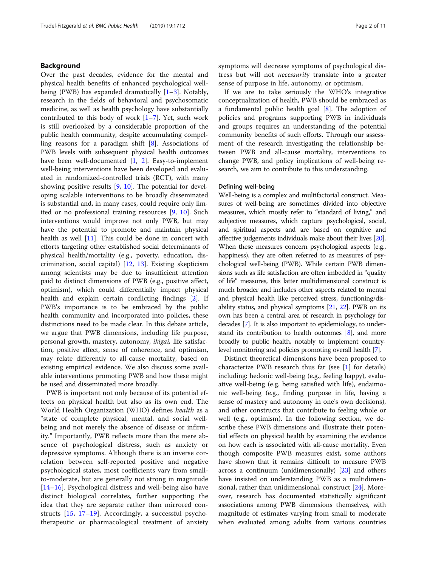# Background

Over the past decades, evidence for the mental and physical health benefits of enhanced psychological wellbeing (PWB) has expanded dramatically [\[1](#page-9-0)–[3](#page-9-0)]. Notably, research in the fields of behavioral and psychosomatic medicine, as well as health psychology have substantially contributed to this body of work  $[1–7]$  $[1–7]$  $[1–7]$  $[1–7]$ . Yet, such work is still overlooked by a considerable proportion of the public health community, despite accumulating compelling reasons for a paradigm shift  $[8]$  $[8]$ . Associations of PWB levels with subsequent physical health outcomes have been well-documented [[1,](#page-9-0) [2](#page-9-0)]. Easy-to-implement well-being interventions have been developed and evaluated in randomized-controlled trials (RCT), with many showing positive results [\[9](#page-9-0), [10\]](#page-9-0). The potential for developing scalable interventions to be broadly disseminated is substantial and, in many cases, could require only limited or no professional training resources [[9,](#page-9-0) [10\]](#page-9-0). Such interventions would improve not only PWB, but may have the potential to promote and maintain physical health as well [\[11](#page-9-0)]. This could be done in concert with efforts targeting other established social determinants of physical health/mortality (e.g., poverty, education, discrimination, social capital) [\[12,](#page-9-0) [13](#page-9-0)]. Existing skepticism among scientists may be due to insufficient attention paid to distinct dimensions of PWB (e.g., positive affect, optimism), which could differentially impact physical health and explain certain conflicting findings [\[2](#page-9-0)]. If PWB's importance is to be embraced by the public health community and incorporated into policies, these distinctions need to be made clear. In this debate article, we argue that PWB dimensions, including life purpose, personal growth, mastery, autonomy, ikigai, life satisfaction, positive affect, sense of coherence, and optimism, may relate differently to all-cause mortality, based on existing empirical evidence. We also discuss some available interventions promoting PWB and how these might be used and disseminated more broadly.

PWB is important not only because of its potential effects on physical health but also as its own end. The World Health Organization (WHO) defines health as a "state of complete physical, mental, and social wellbeing and not merely the absence of disease or infirmity." Importantly, PWB reflects more than the mere absence of psychological distress, such as anxiety or depressive symptoms. Although there is an inverse correlation between self-reported positive and negative psychological states, most coefficients vary from smallto-moderate, but are generally not strong in magnitude [[14](#page-9-0)–[16\]](#page-9-0). Psychological distress and well-being also have distinct biological correlates, further supporting the idea that they are separate rather than mirrored constructs [[15,](#page-9-0) [17](#page-9-0)–[19](#page-9-0)]. Accordingly, a successful psychotherapeutic or pharmacological treatment of anxiety symptoms will decrease symptoms of psychological distress but will not necessarily translate into a greater sense of purpose in life, autonomy, or optimism.

If we are to take seriously the WHO's integrative conceptualization of health, PWB should be embraced as a fundamental public health goal  $[8]$  $[8]$ . The adoption of policies and programs supporting PWB in individuals and groups requires an understanding of the potential community benefits of such efforts. Through our assessment of the research investigating the relationship between PWB and all-cause mortality, interventions to change PWB, and policy implications of well-being research, we aim to contribute to this understanding.

# Defining well-being

Well-being is a complex and multifactorial construct. Measures of well-being are sometimes divided into objective measures, which mostly refer to "standard of living," and subjective measures, which capture psychological, social, and spiritual aspects and are based on cognitive and affective judgements individuals make about their lives [\[20](#page-9-0)]. When these measures concern psychological aspects (e.g., happiness), they are often referred to as measures of psychological well-being (PWB). While certain PWB dimensions such as life satisfaction are often imbedded in "quality of life" measures, this latter multidimensional construct is much broader and includes other aspects related to mental and physical health like perceived stress, functioning/disability status, and physical symptoms [\[21](#page-9-0), [22](#page-9-0)]. PWB on its own has been a central area of research in psychology for decades [\[7\]](#page-9-0). It is also important to epidemiology, to understand its contribution to health outcomes [\[8](#page-9-0)], and more broadly to public health, notably to implement countrylevel monitoring and policies promoting overall health [[7](#page-9-0)].

Distinct theoretical dimensions have been proposed to characterize PWB research thus far (see [\[1](#page-9-0)] for details) including: hedonic well-being (e.g., feeling happy), evaluative well-being (e.g. being satisfied with life), eudaimonic well-being (e.g., finding purpose in life, having a sense of mastery and autonomy in one's own decisions), and other constructs that contribute to feeling whole or well (e.g., optimism). In the following section, we describe these PWB dimensions and illustrate their potential effects on physical health by examining the evidence on how each is associated with all-cause mortality. Even though composite PWB measures exist, some authors have shown that it remains difficult to measure PWB across a continuum (unidimensionally) [\[23](#page-9-0)] and others have insisted on understanding PWB as a multidimensional, rather than unidimensional, construct  $[24]$  $[24]$ . Moreover, research has documented statistically significant associations among PWB dimensions themselves, with magnitude of estimates varying from small to moderate when evaluated among adults from various countries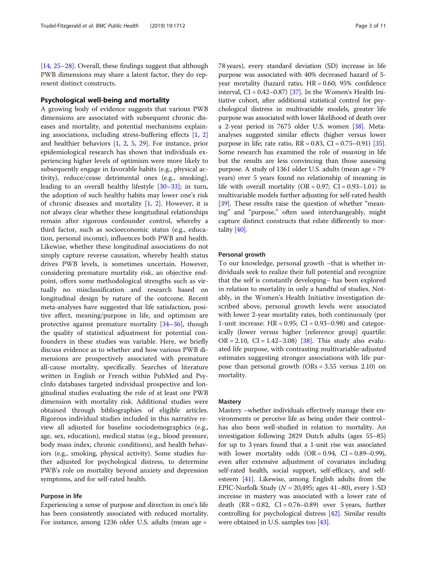[[14,](#page-9-0) [25](#page-9-0)–[28](#page-9-0)]. Overall, these findings suggest that although PWB dimensions may share a latent factor, they do represent distinct constructs.

# Psychological well-being and mortality

A growing body of evidence suggests that various PWB dimensions are associated with subsequent chronic diseases and mortality, and potential mechanisms explaining associations, including stress-buffering effects [\[1](#page-9-0), [2](#page-9-0)] and healthier behaviors [\[1](#page-9-0), [2,](#page-9-0) [5,](#page-9-0) [29\]](#page-9-0). For instance, prior epidemiological research has shown that individuals experiencing higher levels of optimism were more likely to subsequently engage in favorable habits (e.g., physical activity), reduce/cease detrimental ones (e.g., smoking), leading to an overall healthy lifestyle [[30](#page-9-0)–[33](#page-9-0)]; in turn, the adoption of such healthy habits may lower one's risk of chronic diseases and mortality  $[1, 2]$  $[1, 2]$  $[1, 2]$  $[1, 2]$ . However, it is not always clear whether these longitudinal relationships remain after rigorous confounder control, whereby a third factor, such as socioeconomic status (e.g., education, personal income), influences both PWB and health. Likewise, whether these longitudinal associations do not simply capture reverse causation, whereby health status drives PWB levels, is sometimes uncertain. However, considering premature mortality risk, an objective endpoint, offers some methodological strengths such as virtually no misclassification and research based on longitudinal design by nature of the outcome. Recent meta-analyses have suggested that life satisfaction, positive affect, meaning/purpose in life, and optimism are protective against premature mortality [\[34](#page-9-0)–[36\]](#page-9-0), though the quality of statistical adjustment for potential confounders in these studies was variable. Here, we briefly discuss evidence as to whether and how various PWB dimensions are prospectively associated with premature all-cause mortality, specifically. Searches of literature written in English or French within PubMed and PsycInfo databases targeted individual prospective and longitudinal studies evaluating the role of at least one PWB dimension with mortality risk. Additional studies were obtained through bibliographies of eligible articles. Rigorous individual studies included in this narrative review all adjusted for baseline sociodemographics (e.g., age, sex, education), medical status (e.g., blood pressure, body mass index, chronic conditions), and health behaviors (e.g., smoking, physical activity). Some studies further adjusted for psychological distress, to determine PWB's role on mortality beyond anxiety and depression symptoms, and for self-rated health.

## Purpose in life

Experiencing a sense of purpose and direction in one's life has been consistently associated with reduced mortality. For instance, among 1236 older U.S. adults (mean age =

78 years), every standard deviation (SD) increase in life purpose was associated with 40% decreased hazard of 5 year mortality (hazard ratio, HR = 0.60; 95% confidence interval,  $CI = 0.42 - 0.87$  [\[37\]](#page-9-0). In the Women's Health Initiative cohort, after additional statistical control for psychological distress in multivariable models, greater life purpose was associated with lower likelihood of death over a 2-year period in 7675 older U.S. women [[38](#page-10-0)]. Metaanalyses suggested similar effects (higher versus lower purpose in life; rate ratio,  $RR = 0.83$ ,  $CI = 0.75-0.91$  [[35](#page-9-0)]. Some research has examined the role of *meaning* in life but the results are less convincing than those assessing purpose. A study of 1361 older U.S. adults (mean age = 79 years) over 5 years found no relationship of meaning in life with overall mortality  $(OR = 0.97; CI = 0.93-1.01)$  in multivariable models further adjusting for self-rated health [[39](#page-10-0)]. These results raise the question of whether "meaning" and "purpose," often used interchangeably, might capture distinct constructs that relate differently to mortality [\[40\]](#page-10-0).

#### Personal growth

To our knowledge, personal growth –that is whether individuals seek to realize their full potential and recognize that the self is constantly developing– has been explored in relation to mortality in only a handful of studies. Notably, in the Women's Health Initiative investigation described above, personal growth levels were associated with lower 2-year mortality rates, both continuously (per 1-unit increase:  $HR = 0.95$ ;  $CI = 0.93-0.98$ ) and categorically (lower versus higher [reference group] quartile: OR = 2.10, CI =  $1.42-3.08$ ) [[38](#page-10-0)]. This study also evaluated life purpose, with contrasting multivariable-adjusted estimates suggesting stronger associations with life purpose than personal growth (ORs = 3.55 versus 2.10) on mortality.

# Mastery

Mastery –whether individuals effectively manage their environments or perceive life as being under their control– has also been well-studied in relation to mortality. An investigation following 2829 Dutch adults (ages 55–85) for up to 3 years found that a 1-unit rise was associated with lower mortality odds  $(OR = 0.94, CI = 0.89 - 0.99)$ , even after extensive adjustment of covariates including self-rated health, social support, self-efficacy, and selfesteem [\[41\]](#page-10-0). Likewise, among English adults from the EPIC-Norfolk Study ( $N = 20,495$ ; ages 41-80), every 1-SD increase in mastery was associated with a lower rate of death  $(RR = 0.82, CI = 0.76 - 0.89)$  over 5 years, further controlling for psychological distress [[42](#page-10-0)]. Similar results were obtained in U.S. samples too [\[43\]](#page-10-0).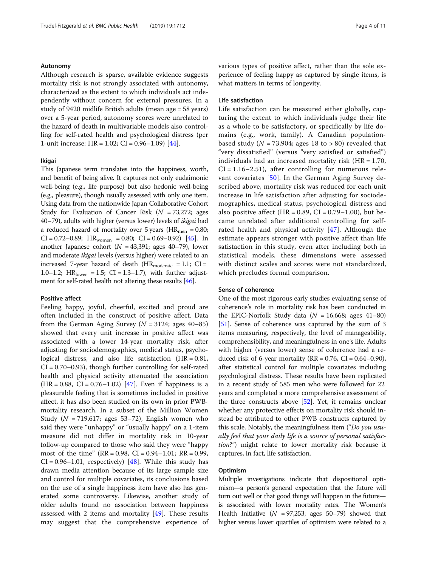# Autonomy

Although research is sparse, available evidence suggests mortality risk is not strongly associated with autonomy, characterized as the extent to which individuals act independently without concern for external pressures. In a study of 9420 midlife British adults (mean age = 58 years) over a 5-year period, autonomy scores were unrelated to the hazard of death in multivariable models also controlling for self-rated health and psychological distress (per 1-unit increase: HR =  $1.02$ ; CI =  $0.96-1.09$  [\[44](#page-10-0)].

# Ikigai

This Japanese term translates into the happiness, worth, and benefit of being alive. It captures not only eudaimonic well-being (e.g., life purpose) but also hedonic well-being (e.g., pleasure), though usually assessed with only one item. Using data from the nationwide Japan Collaborative Cohort Study for Evaluation of Cancer Risk  $(N = 73,272)$ ; ages 40–79), adults with higher (versus lower) levels of ikigai had a reduced hazard of mortality over 5 years ( $HR_{\text{men}} = 0.80$ ;  $CI = 0.72 - 0.89$ ;  $HR_{\text{women}} = 0.80$ ;  $CI = 0.69 - 0.92$ ) [[45](#page-10-0)]. In another Japanese cohort ( $N = 43,391$ ; ages 40–79), lower and moderate ikigai levels (versus higher) were related to an increased 7-year hazard of death ( $HR_{moderate} = 1.1$ ; CI = 1.0–1.2;  $HR_{lower} = 1.5$ ;  $CI = 1.3–1.7$ ), with further adjustment for self-rated health not altering these results [\[46](#page-10-0)].

#### Positive affect

Feeling happy, joyful, cheerful, excited and proud are often included in the construct of positive affect. Data from the German Aging Survey ( $N = 3124$ ; ages 40–85) showed that every unit increase in positive affect was associated with a lower 14-year mortality risk, after adjusting for sociodemographics, medical status, psychological distress, and also life satisfaction  $(HR = 0.81,$ CI = 0.70–0.93), though further controlling for self-rated health and physical activity attenuated the association  $(HR = 0.88, CI = 0.76 - 1.02)$  [[47\]](#page-10-0). Even if happiness is a pleasurable feeling that is sometimes included in positive affect, it has also been studied on its own in prior PWBmortality research. In a subset of the Million Women Study ( $N = 719,617$ ; ages 53–72), English women who said they were "unhappy" or "usually happy" on a 1-item measure did not differ in mortality risk in 10-year follow-up compared to those who said they were "happy most of the time" ( $RR = 0.98$ ,  $CI = 0.94-1.01$ ;  $RR = 0.99$ ,  $CI = 0.96 - 1.01$ , respectively) [\[48](#page-10-0)]. While this study has drawn media attention because of its large sample size and control for multiple covariates, its conclusions based on the use of a single happiness item have also has generated some controversy. Likewise, another study of older adults found no association between happiness assessed with 2 items and mortality [[49\]](#page-10-0). These results may suggest that the comprehensive experience of various types of positive affect, rather than the sole experience of feeling happy as captured by single items, is what matters in terms of longevity.

# Life satisfaction

Life satisfaction can be measured either globally, capturing the extent to which individuals judge their life as a whole to be satisfactory, or specifically by life domains (e.g., work, family). A Canadian populationbased study ( $N = 73,904$ ; ages 18 to > 80) revealed that "very dissatisfied" (versus "very satisfied or satisfied") individuals had an increased mortality risk ( $HR = 1.70$ ,  $CI = 1.16 - 2.51$ , after controlling for numerous relevant covariates [[50](#page-10-0)]. In the German Aging Survey described above, mortality risk was reduced for each unit increase in life satisfaction after adjusting for sociodemographics, medical status, psychological distress and also positive affect (HR =  $0.89$ , CI =  $0.79-1.00$ ), but became unrelated after additional controlling for selfrated health and physical activity [[47](#page-10-0)]. Although the estimate appears stronger with positive affect than life satisfaction in this study, even after including both in statistical models, these dimensions were assessed with distinct scales and scores were not standardized, which precludes formal comparison.

# Sense of coherence

One of the most rigorous early studies evaluating sense of coherence's role in mortality risk has been conducted in the EPIC-Norfolk Study data  $(N = 16,668;$  ages  $41-80)$ [[51](#page-10-0)]. Sense of coherence was captured by the sum of 3 items measuring, respectively, the level of manageability, comprehensibility, and meaningfulness in one's life. Adults with higher (versus lower) sense of coherence had a reduced risk of 6-year mortality ( $RR = 0.76$ ,  $CI = 0.64-0.90$ ), after statistical control for multiple covariates including psychological distress. These results have been replicated in a recent study of 585 men who were followed for 22 years and completed a more comprehensive assessment of the three constructs above [\[52\]](#page-10-0). Yet, it remains unclear whether any protective effects on mortality risk should instead be attributed to other PWB constructs captured by this scale. Notably, the meaningfulness item ("Do you usually feel that your daily life is a source of personal satisfaction?") might relate to lower mortality risk because it captures, in fact, life satisfaction.

# Optimism

Multiple investigations indicate that dispositional optimism—a person's general expectation that the future will turn out well or that good things will happen in the future is associated with lower mortality rates. The Women's Health Initiative ( $N = 97,253$ ; ages 50–79) showed that higher versus lower quartiles of optimism were related to a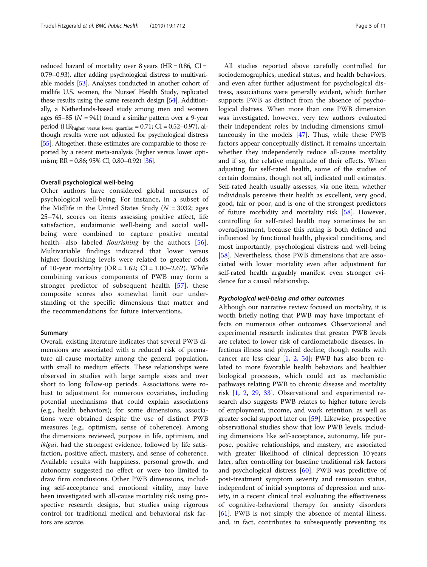reduced hazard of mortality over 8 years ( $HR = 0.86$ ,  $CI =$ 0.79–0.93), after adding psychological distress to multivariable models [\[53](#page-10-0)]. Analyses conducted in another cohort of midlife U.S. women, the Nurses' Health Study, replicated these results using the same research design [[54\]](#page-10-0). Additionally, a Netherlands-based study among men and women ages 65–85 ( $N = 941$ ) found a similar pattern over a 9-year period ( $HR<sub>higher</sub>$  versus lower quartiles = 0.71; CI = 0.52–0.97), although results were not adjusted for psychological distress [[55\]](#page-10-0). Altogether, these estimates are comparable to those reported by a recent meta-analysis (higher versus lower optimism; RR = 0.86; 95% CI, 0.80–0.92) [[36](#page-9-0)].

#### Overall psychological well-being

Other authors have considered global measures of psychological well-being. For instance, in a subset of the Midlife in the United States Study ( $N = 3032$ ; ages 25–74), scores on items assessing positive affect, life satisfaction, eudaimonic well-being and social wellbeing were combined to capture positive mental health—also labeled *flourishing* by the authors [\[56](#page-10-0)]. Multivariable findings indicated that lower versus higher flourishing levels were related to greater odds of 10-year mortality (OR =  $1.62$ ; CI =  $1.00-2.62$ ). While combining various components of PWB may form a stronger predictor of subsequent health [[57\]](#page-10-0), these composite scores also somewhat limit our understanding of the specific dimensions that matter and the recommendations for future interventions.

#### Summary

Overall, existing literature indicates that several PWB dimensions are associated with a reduced risk of premature all-cause mortality among the general population, with small to medium effects. These relationships were observed in studies with large sample sizes and over short to long follow-up periods. Associations were robust to adjustment for numerous covariates, including potential mechanisms that could explain associations (e.g., health behaviors); for some dimensions, associations were obtained despite the use of distinct PWB measures (e.g., optimism, sense of coherence). Among the dimensions reviewed, purpose in life, optimism, and ikigai, had the strongest evidence, followed by life satisfaction, positive affect, mastery, and sense of coherence. Available results with happiness, personal growth, and autonomy suggested no effect or were too limited to draw firm conclusions. Other PWB dimensions, including self-acceptance and emotional vitality, may have been investigated with all-cause mortality risk using prospective research designs, but studies using rigorous control for traditional medical and behavioral risk factors are scarce.

All studies reported above carefully controlled for sociodemographics, medical status, and health behaviors, and even after further adjustment for psychological distress, associations were generally evident, which further supports PWB as distinct from the absence of psychological distress. When more than one PWB dimension was investigated, however, very few authors evaluated their independent roles by including dimensions simultaneously in the models [\[47](#page-10-0)]. Thus, while these PWB factors appear conceptually distinct, it remains uncertain whether they independently reduce all-cause mortality and if so, the relative magnitude of their effects. When adjusting for self-rated health, some of the studies of certain domains, though not all, indicated null estimates. Self-rated health usually assesses, via one item, whether individuals perceive their health as excellent, very good, good, fair or poor, and is one of the strongest predictors of future morbidity and mortality risk [[58](#page-10-0)]. However, controlling for self-rated health may sometimes be an overadjustment, because this rating is both defined and influenced by functional health, physical conditions, and most importantly, psychological distress and well-being [[58\]](#page-10-0). Nevertheless, those PWB dimensions that are associated with lower mortality even after adjustment for self-rated health arguably manifest even stronger evidence for a causal relationship.

#### Psychological well-being and other outcomes

Although our narrative review focused on mortality, it is worth briefly noting that PWB may have important effects on numerous other outcomes. Observational and experimental research indicates that greater PWB levels are related to lower risk of cardiometabolic diseases, infectious illness and physical decline, though results with cancer are less clear [[1,](#page-9-0) [2](#page-9-0), [54](#page-10-0)]; PWB has also been related to more favorable health behaviors and healthier biological processes, which could act as mechanistic pathways relating PWB to chronic disease and mortality risk [[1](#page-9-0), [2](#page-9-0), [29,](#page-9-0) [33\]](#page-9-0). Observational and experimental research also suggests PWB relates to higher future levels of employment, income, and work retention, as well as greater social support later on [\[59\]](#page-10-0). Likewise, prospective observational studies show that low PWB levels, including dimensions like self-acceptance, autonomy, life purpose, positive relationships, and mastery, are associated with greater likelihood of clinical depression 10 years later, after controlling for baseline traditional risk factors and psychological distress [\[60](#page-10-0)]. PWB was predictive of post-treatment symptom severity and remission status, independent of initial symptoms of depression and anxiety, in a recent clinical trial evaluating the effectiveness of cognitive-behavioral therapy for anxiety disorders [[61\]](#page-10-0). PWB is not simply the absence of mental illness, and, in fact, contributes to subsequently preventing its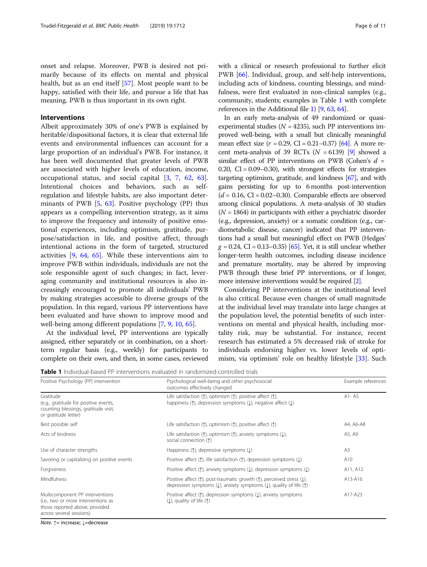Trudel-Fitzgerald et al. BMC Public Health (2019) 19:1712 **Page 6 of 11** Page 6 of 11

onset and relapse. Moreover, PWB is desired not primarily because of its effects on mental and physical health, but as an end itself [\[57\]](#page-10-0). Most people want to be happy, satisfied with their life, and pursue a life that has meaning. PWB is thus important in its own right.

# Interventions

Albeit approximately 30% of one's PWB is explained by heritable/dispositional factors, it is clear that external life events and environmental influences can account for a large proportion of an individual's PWB. For instance, it has been well documented that greater levels of PWB are associated with higher levels of education, income, occupational status, and social capital [[3,](#page-9-0) [7,](#page-9-0) [62](#page-10-0), [63](#page-10-0)]. Intentional choices and behaviors, such as selfregulation and lifestyle habits, are also important determinants of PWB  $[5, 63]$  $[5, 63]$  $[5, 63]$  $[5, 63]$ . Positive psychology (PP) thus appears as a compelling intervention strategy, as it aims to improve the frequency and intensity of positive emotional experiences, including optimism, gratitude, purpose/satisfaction in life, and positive affect, through intentional actions in the form of targeted, structured activities [\[9](#page-9-0), [64,](#page-10-0) [65\]](#page-10-0). While these interventions aim to improve PWB within individuals, individuals are not the sole responsible agent of such changes; in fact, leveraging community and institutional resources is also increasingly encouraged to promote all individuals' PWB by making strategies accessible to diverse groups of the population. In this regard, various PP interventions have been evaluated and have shown to improve mood and well-being among different populations [[7,](#page-9-0) [9,](#page-9-0) [10,](#page-9-0) [65\]](#page-10-0).

At the individual level, PP interventions are typically assigned, either separately or in combination, on a shortterm regular basis (e.g., weekly) for participants to complete on their own, and then, in some cases, reviewed with a clinical or research professional to further elicit PWB [[66](#page-10-0)]. Individual, group, and self-help interventions, including acts of kindness, counting blessings, and mindfulness, were first evaluated in non-clinical samples (e.g., community, students; examples in Table 1 with complete references in the Additional file [1\)](#page-8-0) [[9,](#page-9-0) [63,](#page-10-0) [64](#page-10-0)].

In an early meta-analysis of 49 randomized or quasiexperimental studies ( $N = 4235$ ), such PP interventions improved well-being, with a small but clinically meaningful mean effect size  $(r = 0.29, CI = 0.21 - 0.37)$  [\[64](#page-10-0)]. A more re-cent meta-analysis of 3[9](#page-9-0) RCTs  $(N = 6139)$  [9] showed a similar effect of PP interventions on PWB (Cohen's  $d =$ 0.20,  $CI = 0.09 - 0.30$ , with strongest effects for strategies targeting optimism, gratitude, and kindness [\[67](#page-10-0)], and with gains persisting for up to 6 months post-intervention  $(d = 0.16, CI = 0.02 - 0.30)$ . Comparable effects are observed among clinical populations. A meta-analysis of 30 studies  $(N = 1864)$  in participants with either a psychiatric disorder (e.g., depression, anxiety) or a somatic condition (e.g., cardiometabolic disease, cancer) indicated that PP interventions had a small but meaningful effect on PWB (Hedges'  $g = 0.24$ , CI = 0.13–0.35) [[65](#page-10-0)]. Yet, it is still unclear whether longer-term health outcomes, including disease incidence and premature mortality, may be altered by improving PWB through these brief PP interventions, or if longer, more intensive interventions would be required [\[2\]](#page-9-0).

Considering PP interventions at the institutional level is also critical. Because even changes of small magnitude at the individual level may translate into large changes at the population level, the potential benefits of such interventions on mental and physical health, including mortality risk, may be substantial. For instance, recent research has estimated a 5% decreased risk of stroke for individuals endorsing higher vs. lower levels of optimism, via optimism' role on healthy lifestyle [\[33](#page-9-0)]. Such

Table 1 Individual-based PP interventions evaluated in randomized-controlled trials

| Positive Psychology (PP) intervention                                                                                                |                                                                                                                                                                                            |                    |
|--------------------------------------------------------------------------------------------------------------------------------------|--------------------------------------------------------------------------------------------------------------------------------------------------------------------------------------------|--------------------|
|                                                                                                                                      | Psychological well-being and other psychosocial<br>outcomes effectively changed                                                                                                            | Example references |
| Gratitude<br>(e.g., gratitude for positive events,<br>counting blessings, gratitude visit,<br>or gratitude letter)                   | Life satisfaction $(\uparrow)$ , optimism $(\uparrow)$ , positive affect $(\uparrow)$ ,<br>happiness $(\uparrow)$ , depression symptoms ( $\downarrow$ ), negative affect ( $\downarrow$ ) | $A1 - A5$          |
| Best possible self                                                                                                                   | Life satisfaction $(\uparrow)$ , optimism $(\uparrow)$ , positive affect $(\uparrow)$                                                                                                      | A4, A6-A8          |
| Acts of kindness                                                                                                                     | Life satisfaction ( $\uparrow$ ), optimism ( $\uparrow$ ), anxiety symptoms ( $\downarrow$ ),<br>social connection (1)                                                                     | A5, A9             |
| Use of character strengths                                                                                                           | Happiness $(\uparrow)$ , depressive symptoms $(\downarrow)$                                                                                                                                | A3                 |
| Savoring or capitalizing on positive events                                                                                          | Positive affect ( $\uparrow$ ), life satisfaction ( $\uparrow$ ), depression symptoms ( $\downarrow$ )                                                                                     | A10                |
| Forgiveness                                                                                                                          | Positive affect $(1)$ , anxiety symptoms $(1)$ , depression symptoms $(1)$                                                                                                                 | A11, A12           |
| Mindfulness                                                                                                                          | Positive affect (1), post-traumatic growth (1), perceived stress $(1)$ ,<br>depression symptoms (1), anxiety symptoms (1), quality of life $(\uparrow)$                                    | A13-A16            |
| Multicomponent PP interventions<br>(i.e., two or more interventions as<br>those reported above, provided<br>across several sessions) | Positive affect (1), depression symptoms (1), anxiety symptoms<br>$(I)$ , quality of life $(†)$                                                                                            | A17-A23            |

Note. ↑= increase; ↓=decrease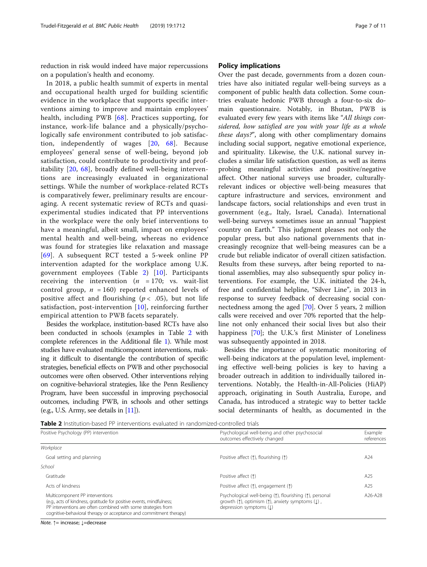reduction in risk would indeed have major repercussions on a population's health and economy.

In 2018, a public health summit of experts in mental and occupational health urged for building scientific evidence in the workplace that supports specific interventions aiming to improve and maintain employees' health, including PWB [\[68](#page-10-0)]. Practices supporting, for instance, work-life balance and a physically/psychologically safe environment contributed to job satisfaction, independently of wages [[20](#page-9-0), [68\]](#page-10-0). Because employees' general sense of well-being, beyond job satisfaction, could contribute to productivity and profitability [\[20](#page-9-0), [68\]](#page-10-0), broadly defined well-being interventions are increasingly evaluated in organizational settings. While the number of workplace-related RCTs is comparatively fewer, preliminary results are encouraging. A recent systematic review of RCTs and quasiexperimental studies indicated that PP interventions in the workplace were the only brief interventions to have a meaningful, albeit small, impact on employees' mental health and well-being, whereas no evidence was found for strategies like relaxation and massage [[69](#page-10-0)]. A subsequent RCT tested a 5-week online PP intervention adapted for the workplace among U.K. government employees (Table 2) [[10\]](#page-9-0). Participants receiving the intervention  $(n = 170; \text{ vs. wait-list})$ control group,  $n = 160$ ) reported enhanced levels of positive affect and flourishing ( $p < .05$ ), but not life satisfaction, post-intervention [[10](#page-9-0)], reinforcing further empirical attention to PWB facets separately.

Besides the workplace, institution-based RCTs have also been conducted in schools (examples in Table 2 with complete references in the Additional file [1](#page-8-0)). While most studies have evaluated multicomponent interventions, making it difficult to disentangle the contribution of specific strategies, beneficial effects on PWB and other psychosocial outcomes were often observed. Other interventions relying on cognitive-behavioral strategies, like the Penn Resiliency Program, have been successful in improving psychosocial outcomes, including PWB, in schools and other settings (e.g., U.S. Army, see details in  $[11]$  $[11]$  $[11]$ ).

# Policy implications

Over the past decade, governments from a dozen countries have also initiated regular well-being surveys as a component of public health data collection. Some countries evaluate hedonic PWB through a four-to-six domain questionnaire. Notably, in Bhutan, PWB is evaluated every few years with items like "All things considered, how satisfied are you with your life as a whole these days?", along with other complimentary domains including social support, negative emotional experience, and spirituality. Likewise, the U.K. national survey includes a similar life satisfaction question, as well as items probing meaningful activities and positive/negative affect. Other national surveys use broader, culturallyrelevant indices or objective well-being measures that capture infrastructure and services, environment and landscape factors, social relationships and even trust in government (e.g., Italy, Israel, Canada). International well-being surveys sometimes issue an annual "happiest country on Earth." This judgment pleases not only the popular press, but also national governments that increasingly recognize that well-being measures can be a crude but reliable indicator of overall citizen satisfaction. Results from these surveys, after being reported to national assemblies, may also subsequently spur policy interventions. For example, the U.K. initiated the 24-h, free and confidential helpline, "Silver Line", in 2013 in response to survey feedback of decreasing social connectedness among the aged [\[70\]](#page-10-0). Over 5 years, 2 million calls were received and over 70% reported that the helpline not only enhanced their social lives but also their happiness [\[70](#page-10-0)]; the U.K.'s first Minister of Loneliness was subsequently appointed in 2018.

Besides the importance of systematic monitoring of well-being indicators at the population level, implementing effective well-being policies is key to having a broader outreach in addition to individually tailored interventions. Notably, the Health-in-All-Policies (HiAP) approach, originating in South Australia, Europe, and Canada, has introduced a strategic way to better tackle social determinants of health, as documented in the

Table 2 Institution-based PP interventions evaluated in randomized-controlled trials

| Positive Psychology (PP) intervention                                                                                                                                                                                                          | Psychological well-being and other psychosocial<br>outcomes effectively changed                                                       | Example<br>references            |
|------------------------------------------------------------------------------------------------------------------------------------------------------------------------------------------------------------------------------------------------|---------------------------------------------------------------------------------------------------------------------------------------|----------------------------------|
| Workplace                                                                                                                                                                                                                                      |                                                                                                                                       |                                  |
| Goal setting and planning                                                                                                                                                                                                                      | Positive affect $(†)$ , flourishing $(†)$                                                                                             | A24                              |
| School                                                                                                                                                                                                                                         |                                                                                                                                       |                                  |
| Gratitude                                                                                                                                                                                                                                      | Positive affect (1)                                                                                                                   | A25                              |
| Acts of kindness                                                                                                                                                                                                                               | Positive affect (1), engagement (1)                                                                                                   | A25                              |
| Multicomponent PP interventions<br>(e.g., acts of kindness, gratitude for positive events, mindfulness;<br>PP interventions are often combined with some strategies from<br>cognitive-behavioral therapy or acceptance and commitment therapy) | Psychological well-being (1), flourishing (1), personal<br>growth (1), optimism (1), anxiety symptoms (1),<br>depression symptoms (1) | A <sub>26</sub> -A <sub>28</sub> |

Note. ↑= increase; ↓=decrease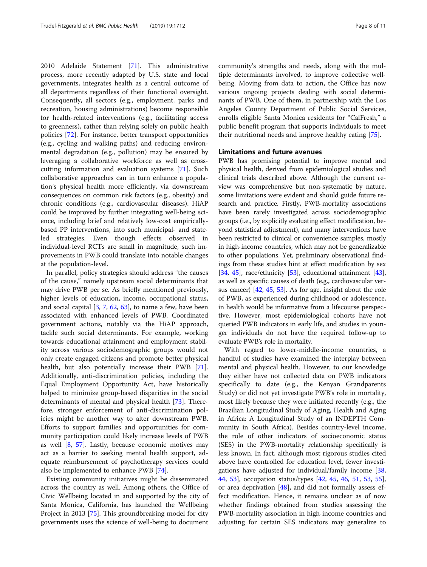2010 Adelaide Statement [\[71\]](#page-10-0). This administrative process, more recently adapted by U.S. state and local governments, integrates health as a central outcome of all departments regardless of their functional oversight. Consequently, all sectors (e.g., employment, parks and recreation, housing administrations) become responsible for health-related interventions (e.g., facilitating access to greenness), rather than relying solely on public health policies [[72](#page-10-0)]. For instance, better transport opportunities (e.g., cycling and walking paths) and reducing environmental degradation (e.g., pollution) may be ensured by leveraging a collaborative workforce as well as crosscutting information and evaluation systems [\[71](#page-10-0)]. Such collaborative approaches can in turn enhance a population's physical health more efficiently, via downstream consequences on common risk factors (e.g., obesity) and chronic conditions (e.g., cardiovascular diseases). HiAP could be improved by further integrating well-being science, including brief and relatively low-cost empiricallybased PP interventions, into such municipal- and stateled strategies. Even though effects observed in individual-level RCTs are small in magnitude, such improvements in PWB could translate into notable changes at the population-level.

In parallel, policy strategies should address "the causes of the cause," namely upstream social determinants that may drive PWB per se. As briefly mentioned previously, higher levels of education, income, occupational status, and social capital  $[3, 7, 62, 63]$  $[3, 7, 62, 63]$  $[3, 7, 62, 63]$  $[3, 7, 62, 63]$  $[3, 7, 62, 63]$  $[3, 7, 62, 63]$  $[3, 7, 62, 63]$  $[3, 7, 62, 63]$ , to name a few, have been associated with enhanced levels of PWB. Coordinated government actions, notably via the HiAP approach, tackle such social determinants. For example, working towards educational attainment and employment stability across various sociodemographic groups would not only create engaged citizens and promote better physical health, but also potentially increase their PWB [\[71](#page-10-0)]. Additionally, anti-discrimination policies, including the Equal Employment Opportunity Act, have historically helped to minimize group-based disparities in the social determinants of mental and physical health [[73\]](#page-10-0). Therefore, stronger enforcement of anti-discrimination policies might be another way to alter downstream PWB. Efforts to support families and opportunities for community participation could likely increase levels of PWB as well [[8,](#page-9-0) [57](#page-10-0)]. Lastly, because economic motives may act as a barrier to seeking mental health support, adequate reimbursement of psychotherapy services could also be implemented to enhance PWB [[74\]](#page-10-0).

Existing community initiatives might be disseminated across the country as well. Among others, the Office of Civic Wellbeing located in and supported by the city of Santa Monica, California, has launched the Wellbeing Project in 2013 [\[75](#page-10-0)]. This groundbreaking model for city governments uses the science of well-being to document

community's strengths and needs, along with the multiple determinants involved, to improve collective wellbeing. Moving from data to action, the Office has now various ongoing projects dealing with social determinants of PWB. One of them, in partnership with the Los Angeles County Department of Public Social Services, enrolls eligible Santa Monica residents for "CalFresh," a public benefit program that supports individuals to meet their nutritional needs and improve healthy eating [\[75\]](#page-10-0).

# Limitations and future avenues

PWB has promising potential to improve mental and physical health, derived from epidemiological studies and clinical trials described above. Although the current review was comprehensive but non-systematic by nature, some limitations were evident and should guide future research and practice. Firstly, PWB-mortality associations have been rarely investigated across sociodemographic groups (i.e., by explicitly evaluating effect modification, beyond statistical adjustment), and many interventions have been restricted to clinical or convenience samples, mostly in high-income countries, which may not be generalizable to other populations. Yet, preliminary observational findings from these studies hint at effect modification by sex [[34](#page-9-0), [45](#page-10-0)], race/ethnicity [\[53\]](#page-10-0), educational attainment [[43](#page-10-0)], as well as specific causes of death (e.g., cardiovascular versus cancer) [\[42,](#page-10-0) [45,](#page-10-0) [53\]](#page-10-0). As for age, insight about the role of PWB, as experienced during childhood or adolescence, in health would be informative from a lifecourse perspective. However, most epidemiological cohorts have not queried PWB indicators in early life, and studies in younger individuals do not have the required follow-up to evaluate PWB's role in mortality.

With regard to lower-middle-income countries, a handful of studies have examined the interplay between mental and physical health. However, to our knowledge they either have not collected data on PWB indicators specifically to date (e.g., the Kenyan Grandparents Study) or did not yet investigate PWB's role in mortality, most likely because they were initiated recently (e.g., the Brazilian Longitudinal Study of Aging, Health and Aging in Africa: A Longitudinal Study of an INDEPTH Community in South Africa). Besides country-level income, the role of other indicators of socioeconomic status (SES) in the PWB-mortality relationship specifically is less known. In fact, although most rigorous studies cited above have controlled for education level, fewer investigations have adjusted for individual/family income [[38](#page-10-0), [44,](#page-10-0) [53](#page-10-0)], occupation status/types [[42,](#page-10-0) [45,](#page-10-0) [46,](#page-10-0) [51](#page-10-0), [53](#page-10-0), [55](#page-10-0)], or area deprivation [[48\]](#page-10-0), and did not formally assess effect modification. Hence, it remains unclear as of now whether findings obtained from studies assessing the PWB-mortality association in high-income countries and adjusting for certain SES indicators may generalize to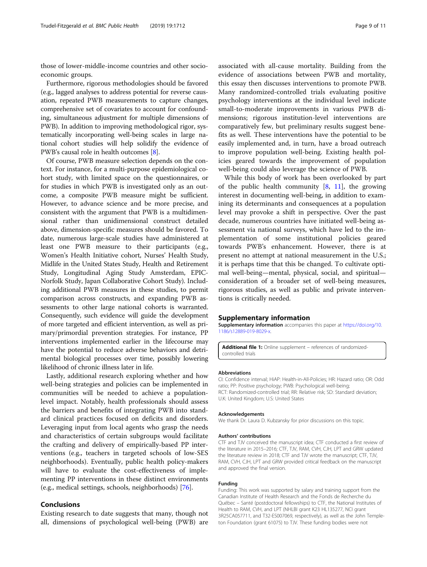<span id="page-8-0"></span>those of lower-middle-income countries and other socioeconomic groups.

Furthermore, rigorous methodologies should be favored (e.g., lagged analyses to address potential for reverse causation, repeated PWB measurements to capture changes, comprehensive set of covariates to account for confounding, simultaneous adjustment for multiple dimensions of PWB). In addition to improving methodological rigor, systematically incorporating well-being scales in large national cohort studies will help solidify the evidence of PWB's causal role in health outcomes [\[8\]](#page-9-0).

Of course, PWB measure selection depends on the context. For instance, for a multi-purpose epidemiological cohort study, with limited space on the questionnaires, or for studies in which PWB is investigated only as an outcome, a composite PWB measure might be sufficient. However, to advance science and be more precise, and consistent with the argument that PWB is a multidimensional rather than unidimensional construct detailed above, dimension-specific measures should be favored. To date, numerous large-scale studies have administered at least one PWB measure to their participants (e.g., Women's Health Initiative cohort, Nurses' Health Study, Midlife in the United States Study, Health and Retirement Study, Longitudinal Aging Study Amsterdam, EPIC-Norfolk Study, Japan Collaborative Cohort Study). Including additional PWB measures in these studies, to permit comparison across constructs, and expanding PWB assessments to other large national cohorts is warranted. Consequently, such evidence will guide the development of more targeted and efficient intervention, as well as primary/primordial prevention strategies. For instance, PP interventions implemented earlier in the lifecourse may have the potential to reduce adverse behaviors and detrimental biological processes over time, possibly lowering likelihood of chronic illness later in life.

Lastly, additional research exploring whether and how well-being strategies and policies can be implemented in communities will be needed to achieve a populationlevel impact. Notably, health professionals should assess the barriers and benefits of integrating PWB into standard clinical practices focused on deficits and disorders. Leveraging input from local agents who grasp the needs and characteristics of certain subgroups would facilitate the crafting and delivery of empirically-based PP interventions (e.g., teachers in targeted schools of low-SES neighborhoods). Eventually, public health policy-makers will have to evaluate the cost-effectiveness of implementing PP interventions in these distinct environments (e.g., medical settings, schools, neighborhoods) [\[76](#page-10-0)].

# Conclusions

Existing research to date suggests that many, though not all, dimensions of psychological well-being (PWB) are associated with all-cause mortality. Building from the evidence of associations between PWB and mortality, this essay then discusses interventions to promote PWB. Many randomized-controlled trials evaluating positive psychology interventions at the individual level indicate small-to-moderate improvements in various PWB dimensions; rigorous institution-level interventions are comparatively few, but preliminary results suggest benefits as well. These interventions have the potential to be easily implemented and, in turn, have a broad outreach to improve population well-being. Existing health policies geared towards the improvement of population well-being could also leverage the science of PWB.

While this body of work has been overlooked by part of the public health community  $[8, 11]$  $[8, 11]$  $[8, 11]$  $[8, 11]$  $[8, 11]$ , the growing interest in documenting well-being, in addition to examining its determinants and consequences at a population level may provoke a shift in perspective. Over the past decade, numerous countries have initiated well-being assessment via national surveys, which have led to the implementation of some institutional policies geared towards PWB's enhancement. However, there is at present no attempt at national measurement in the U.S.; it is perhaps time that this be changed. To cultivate optimal well-being—mental, physical, social, and spiritual consideration of a broader set of well-being measures, rigorous studies, as well as public and private interventions is critically needed.

#### Supplementary information

Supplementary information accompanies this paper at [https://doi.org/10.](https://doi.org/10.1186/s12889-019-8029-x) [1186/s12889-019-8029-x](https://doi.org/10.1186/s12889-019-8029-x).

Additional file 1: Online supplement - references of randomizedcontrolled trials

#### Abbreviations

CI: Confidence interval; HiAP: Health-in-All-Policies; HR: Hazard ratio; OR: Odd ratio; PP: Positive psychology; PWB: Psychological well-being; RCT: Randomized-controlled trial; RR: Relative risk; SD: Standard deviation; U.K: United Kingdom; U.S: United States

#### Acknowledgements

We thank Dr. Laura D. Kubzansky for prior discussions on this topic.

#### Authors' contributions

CTF and TJV conceived the manuscript idea; CTF conducted a first review of the literature in 2015–2016; CTF, TJV, RAM, CVH, CJH, LPT and GRW updated the literature review in 2018; CTF and TJV wrote the manuscript; CTF, TJV, RAM, CVH, CJH, LPT and GRW provided critical feedback on the manuscript and approved the final version.

#### Funding

Funding: This work was supported by salary and training support from the Canadian Institute of Health Research and the Fonds de Recherche du Québec – Santé (postdoctoral fellowships) to CTF, the National Institutes of Health to RAM, CVH, and LPT (NHLBI grant K23 HL135277, NCI grant 3R25CA057711, and T32-ES007069, respectively), as well as the John Templeton Foundation (grant 61075) to TJV. These funding bodies were not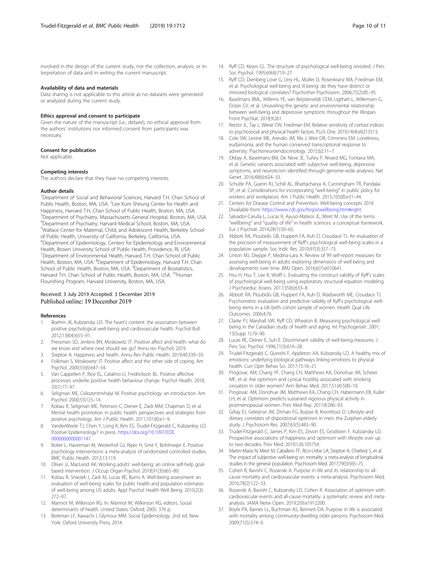<span id="page-9-0"></span>involved in the design of the current study, nor the collection, analysis, or interpretation of data and in writing the current manuscript.

# Availability of data and materials

Data sharing is not applicable to this article as no datasets were generated or analyzed during the current study.

#### Ethics approval and consent to participate

Given the nature of the manuscript (i.e., debate), no ethical approval from the authors' institutions nor informed consent from participants was necessary.

#### Consent for publication

Not applicable.

#### Competing interests

The authors declare that they have no competing interests.

#### Author details

<sup>1</sup>Department of Social and Behavioral Sciences, Harvard T.H. Chan School of Public Health, Boston, MA, USA. <sup>2</sup> Lee Kum Sheung Center for Health and Happiness, Harvard T.H, Chan School of Public Health, Boston, MA, USA. <sup>3</sup>Department of Psychiatry, Massachusetts General Hospital, Boston, MA, USA. 4 Department of Psychiatry, Harvard Medical School, Boston, MA, USA. 5 Wallace Center for Maternal, Child, and Adolescent Health, Berkeley School of Public Health, University of California, Berkeley, California, USA. 6 Department of Epidemiology, Centers for Epidemiology and Environmental Health, Brown University School of Public Health, Providence, RI, USA. <sup>7</sup> Department of Environmental Health, Harvard T.H. Chan School of Public Health, Boston, MA, USA. <sup>8</sup>Department of Epidemiology, Harvard T.H. Chan School of Public Health, Boston, MA, USA. <sup>9</sup>Department of Biostatistics, Harvard T.H. Chan School of Public Health, Boston, MA, USA. <sup>10</sup>Human Flourishing Program, Harvard University, Boston, MA, USA.

# Received: 3 July 2019 Accepted: 3 December 2019<br>Published online: 19 December 2019

#### References

- 1. Boehm JK, Kubzansky LD. The heart's content: the association between positive psychological well-being and cardiovascular health. Psychol Bull. 2012;138(4):655–91.
- 2. Pressman SD, Jenkins BN, Moskowitz JT. Positive affect and health: what do we know and where next should we go? Annu rev Psychol; 2019.
- 3. Steptoe A. Happiness and health. Annu Rev Public Health. 2019;40:339–59.
- 4. Folkman S, Moskowitz JT. Positive affect and the other side of coping. Am Psychol. 2000;55(6):647–54.
- 5. Van Cappellen P, Rice EL, Catalino LI, Fredrickson BL. Positive affective processes underlie positive health behaviour change. Psychol Health. 2018; 33(1):77–97.
- 6. Seligman ME, Csikszentmihalyi M. Positive psychology: an introduction. Am Psychol. 2000;55(1):5–14.
- Kobau R, Seligman ME, Peterson C, Diener E, Zack MM, Chapman D, et al. Mental health promotion in public health: perspectives and strategies from positive psychology. Am J Public Health. 2011;101(8):e1–9.
- VanderWeele TJ, Chen Y, Long K, Kim ES, Trudel-Fitzgerald C, Kubzanksy LD. Positive Epidemiology? in press. [https://doi.org/10.1097/EDE.](https://doi.org/10.1097/EDE.0000000000001147) 000000000001147
- 9. Bolier L, Haverman M, Westerhof GJ, Riper H, Smit F, Bohlmeijer E. Positive psychology interventions: a meta-analysis of randomized controlled studies. BMC Public Health. 2013;13:119.
- 10. Oliver JJ, MacLeod AK. Working adults' well-being: an online self-help goalbased intervention. J Occup Organ Psychol. 2018;91(3):665–80.
- 11. Kobau R, Sniezek J, Zack M, Lucas RE, Burns A. Well-being assessment: an evaluation of well-being scales for public health and population estimates of well-being among US adults. Appl Psychol Health Well Being. 2010;2(3): 272–97.
- 12. Marmot M, Wilkinson RG. In: Marmot M, Wilkinson RG, editors. Social determinants of health. United States: Oxford; 2005. 376 p.
- 13. Berkman LF, Kawachi I, Glymour MM. Social Epidemiology. 2nd ed. New York: Oxford University Press; 2014.
- 14. Ryff CD, Keyes CL. The structure of psychological well-being revisited. J Pers Soc Psychol. 1995;69(4):719–27.
- 15. Ryff CD, Dienberg Love G, Urry HL, Muller D, Rosenkranz MA, Friedman EM, et al. Psychological well-being and ill-being: do they have distinct or mirrored biological correlates? Psychother Psychosom. 2006;75(2):85–95.
- 16. Baselmans BML, Willems YE, van Beijsterveldt CEM, Ligthart L, Willemsen G, Dolan CV, et al. Unraveling the genetic and environmental relationship between well-being and depressive symptoms throughout the lifespan. Front Psychiat. 2018;9:261.
- 17. Rector JL, Tay L, Wiese CW, Friedman EM. Relative sensitivity of cortisol indices to psychosocial and physical health factors. PLoS One. 2019;14(4):e0213513.
- 18. Cole SW, Levine ME, Arevalo JM, Ma J, Weir DR, Crimmins EM. Loneliness, eudaimonia, and the human conserved transcriptional response to adversity. Psychoneuroendocrinology. 2015;62:11–7.
- 19. Okbay A, Baselmans BM, De Neve JE, Turley P, Nivard MG, Fontana MA, et al. Genetic variants associated with subjective well-being, depressive symptoms, and neuroticism identified through genome-wide analyses. Nat Genet. 2016;48(6):624–33.
- 20. Schulte PA, Guerin RJ, Schill AL, Bhattacharya A, Cunningham TR, Pandalai SP, et al. Considerations for incorporating "well-being" in public policy for workers and workplaces. Am J Public Health. 2015;105(8):e31–44.
- 21. Centers for Disease Control and Prevention. Well-being concepts 2018 [Available from: [https://www.cdc.gov/hrqol/wellbeing.htm#eight.](https://www.cdc.gov/hrqol/wellbeing.htm#eight)
- 22. Salvador-Carulla L, Lucas R, Ayuso-Mateos JL, Miret M. Use of the terms "wellbeing" and "quality of life" in health sciences: a conceptual framework. Eur J Psychiat. 2014;28(1):50–65.
- 23. Abbott RA, Ploubidis GB, Huppert FA, Kuh D, Croudace TJ. An evaluation of the precision of measurement of Ryff's psychological well-being scales in a population sample. Soc Indic Res. 2010;97(3):357–73.
- 24. Linton MJ, Dieppe P, Medina-Lara A. Review of 99 self-report measures for assessing well-being in adults: exploring dimensions of well-being and developments over time. BMJ Open. 2016;6(7):e010641.
- 25. Hsu H, Hsu T, Lee K, Wolff L. Evaluating the construct validity of Ryff's scales of psychological well-being using exploratory structural equation modeling. J Psychoeduc Assess. 2017;35(6):633–8.
- 26. Abbott RA, Ploubidis GB, Huppert FA, Kuh D, Wadsworth ME, Croudace TJ. Psychometric evaluation and predictive validity of Ryff's psychological wellbeing items in a UK birth cohort sample of women. Health Qual Life Outcomes. 2006;4:76.
- 27. Clarke PJ, Marshall VW, Ryff CD, Wheaton B. Measuring psychological wellbeing in the Canadian study of health and aging. Int Psychogeriatr. 2001; 13(Supp 1):79–90.
- 28. Lucas RE, Diener E, Suh E. Discriminant validity of well-being measures. J Pers Soc Psychol. 1996;71(3):616–28.
- 29. Trudel-Fitzgerald C, Qureshi F, Appleton AA, Kubzansky LD. A healthy mix of emotions: underlying biological pathways linking emotions to physical health. Curr Opin Behav Sci. 2017;15:16–21.
- 30. Progovac AM, Chang YF, Chang CH, Matthews KA, Donohue JM, Scheier MF, et al. Are optimism and cynical hostility associated with smoking cessation in older women? Ann Behav Med. 2017;51(4):500–10.
- 31. Progovac AM, Donohue JM, Matthews KA, Chang CH, Habermann EB, Kuller LH, et al. Optimism predicts sustained vigorous physical activity in postmenopausal women. Prev Med Rep. 2017;8:286–93.
- 32. Giltay EJ, Geleijnse JM, Zitman FG, Buijsse B, Kromhout D. Lifestyle and dietary correlates of dispositional optimism in men: the Zutphen elderly study. J Psychosom Res. 2007;63(5):483–90.
- 33. Trudel-Fitzgerald C, James P, Kim ES, Zevon ES, Grodstein F, Kubzansky LD. Prospective associations of happiness and optimism with lifestyle over up to two decades. Prev Med. 2019;126:105754.
- 34. Martin-Maria N, Miret M, Caballero FF, Rico-Uribe LA, Steptoe A, Chatterji S, et al. The impact of subjective well-being on mortality: a meta-analysis of longitudinal studies in the general population. Psychosom Med. 2017;79(5):565–75.
- 35. Cohen R, Bavishi C, Rozanski A. Purpose in life and its relationship to allcause mortality and cardiovascular events: a meta-analysis. Psychosom Med. 2016;78(2):122–33.
- 36. Rozanski A, Bavishi C, Kubzansky LD, Cohen R. Association of optimism with cardiovascular events and all-cause mortality: a systematic review and metaanalysis. JAMA Netw Open. 2019;2(9):e1912200.
- 37. Boyle PA, Barnes LL, Buchman AS, Bennett DA. Purpose in life is associated with mortality among community-dwelling older persons. Psychosom Med. 2009;71(5):574–9.